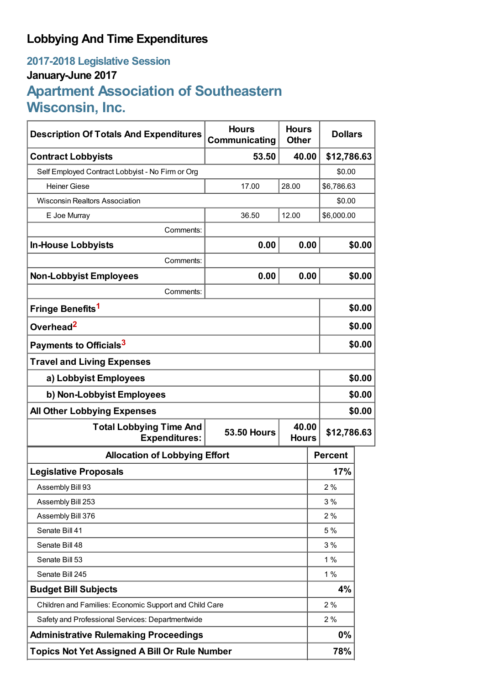# **Lobbying And Time Expenditures**

# **2017-2018 Legislative Session January-June 2017 Apartment Association of Southeastern Wisconsin, Inc.**

| <b>Description Of Totals And Expenditures</b>          | <b>Hours</b><br>Communicating               | <b>Hours</b><br><b>Other</b> |                | <b>Dollars</b> |  |
|--------------------------------------------------------|---------------------------------------------|------------------------------|----------------|----------------|--|
| <b>Contract Lobbyists</b>                              | 53.50                                       | 40.00                        |                | \$12,786.63    |  |
| Self Employed Contract Lobbyist - No Firm or Org       |                                             |                              |                | \$0.00         |  |
| <b>Heiner Giese</b>                                    | 17.00                                       | 28.00                        |                | \$6,786.63     |  |
| <b>Wisconsin Realtors Association</b>                  |                                             |                              |                | \$0.00         |  |
| E Joe Murray                                           | 36.50                                       | 12.00                        |                | \$6,000.00     |  |
| Comments:                                              |                                             |                              |                |                |  |
| <b>In-House Lobbyists</b>                              | 0.00                                        | 0.00                         |                | \$0.00         |  |
| Comments:                                              |                                             |                              |                |                |  |
| <b>Non-Lobbyist Employees</b>                          | 0.00                                        | 0.00                         |                | \$0.00         |  |
| Comments:                                              |                                             |                              |                |                |  |
| Fringe Benefits <sup>1</sup>                           |                                             |                              |                | \$0.00         |  |
| Overhead <sup>2</sup>                                  |                                             |                              |                | \$0.00         |  |
| Payments to Officials <sup>3</sup>                     |                                             |                              |                | \$0.00         |  |
| <b>Travel and Living Expenses</b>                      |                                             |                              |                |                |  |
| a) Lobbyist Employees                                  |                                             |                              |                | \$0.00         |  |
| b) Non-Lobbyist Employees                              |                                             |                              |                | \$0.00         |  |
| <b>All Other Lobbying Expenses</b>                     |                                             |                              |                | \$0.00         |  |
| <b>Total Lobbying Time And</b><br><b>Expenditures:</b> | 40.00<br><b>53.50 Hours</b><br><b>Hours</b> |                              |                | \$12,786.63    |  |
| <b>Allocation of Lobbying Effort</b>                   |                                             |                              | <b>Percent</b> |                |  |
| <b>Legislative Proposals</b>                           |                                             |                              |                | 17%            |  |
| Assembly Bill 93                                       |                                             |                              |                | 2%             |  |
| Assembly Bill 253                                      |                                             |                              |                | 3%             |  |
| Assembly Bill 376                                      |                                             |                              |                | 2%             |  |
| Senate Bill 41                                         |                                             |                              |                | 5 %            |  |
| Senate Bill 48                                         |                                             |                              |                | 3%             |  |
| Senate Bill 53                                         |                                             |                              |                | 1%             |  |
| Senate Bill 245                                        |                                             |                              |                | 1%             |  |
| <b>Budget Bill Subjects</b>                            |                                             |                              |                | 4%             |  |
| Children and Families: Economic Support and Child Care |                                             |                              |                | 2%             |  |
| Safety and Professional Services: Departmentwide       |                                             |                              |                | 2%             |  |
| <b>Administrative Rulemaking Proceedings</b>           |                                             |                              |                | $0\%$          |  |
| <b>Topics Not Yet Assigned A Bill Or Rule Number</b>   |                                             |                              |                | 78%            |  |